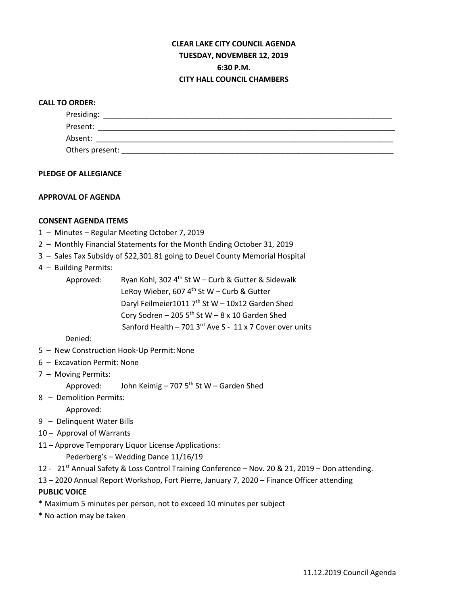# **CLEAR LAKE CITY COUNCIL AGENDA TUESDAY, NOVEMBER 12, 2019 6:30 P.M. CITY HALL COUNCIL CHAMBERS**

## **CALL TO ORDER:**

| Presiding:      |  |
|-----------------|--|
| Present:        |  |
| Absent:         |  |
| Others present: |  |

### **PLEDGE OF ALLEGIANCE**

## **APPROVAL OF AGENDA**

## **CONSENT AGENDA ITEMS**

- 1 Minutes Regular Meeting October 7, 2019
- 2 Monthly Financial Statements for the Month Ending October 31, 2019
- 3 Sales Tax Subsidy of \$22,301.81 going to Deuel County Memorial Hospital
- 4 Building Permits:

| Approved: | Ryan Kohl, 302 4 <sup>th</sup> St W - Curb & Gutter & Sidewalk |  |
|-----------|----------------------------------------------------------------|--|
|           | LeRoy Wieber, 607 $4^{\text{th}}$ St W – Curb & Gutter         |  |
|           | Daryl Feilmeier1011 $7th$ St W - 10x12 Garden Shed             |  |
|           | Cory Sodren - 205 5 <sup>th</sup> St W - 8 x 10 Garden Shed    |  |
|           | Sanford Health - 701 3rd Ave S - 11 x 7 Cover over units       |  |
|           |                                                                |  |

## Denied:

- 5 New Construction Hook-Up Permit:None
- 6 Excavation Permit: None
- 7 Moving Permits:

Approved: John Keimig – 707  $5<sup>th</sup>$  St W – Garden Shed

8 – Demolition Permits:

Approved:

- 9 Delinquent Water Bills
- 10 Approval of Warrants
- 11 Approve Temporary Liquor License Applications:

Pederberg's – Wedding Dance 11/16/19

- 12 21st Annual Safety & Loss Control Training Conference Nov. 20 & 21, 2019 Don attending.
- 13 2020 Annual Report Workshop, Fort Pierre, January 7, 2020 Finance Officer attending

# **PUBLIC VOICE**

- \* Maximum 5 minutes per person, not to exceed 10 minutes per subject
- \* No action may be taken